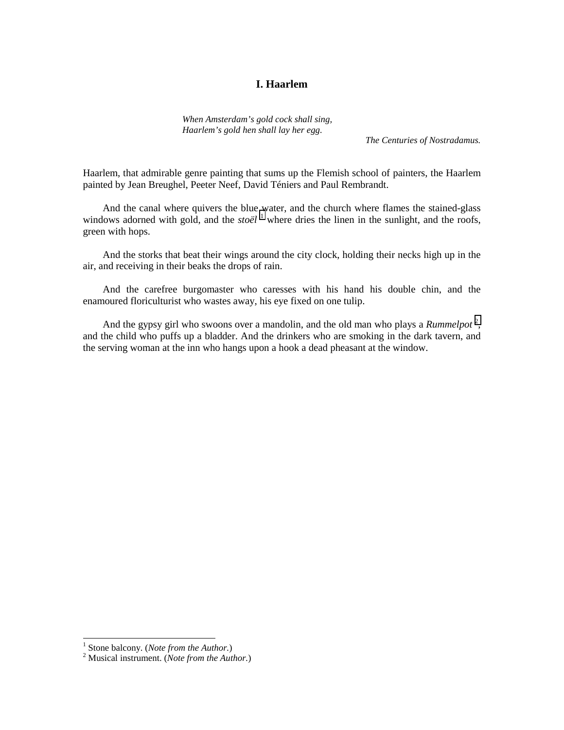# **I. Haarlem**

*When Amsterdam's gold cock shall sing, Haarlem's gold hen shall lay her egg.*

*The Centuries of Nostradamus.*

Haarlem, that admirable genre painting that sums up the Flemish school of painters, the Haarlem painted by Jean Breughel, Peeter Neef, David Téniers and Paul Rembrandt.

And the canal where quivers the blue water, and the church where flames the stained-glass windows adorned with gold, and the *stoël* <sup>1</sup> where dries the linen in the sunlight, and the roofs, green with hops.

And the storks that beat their wings around the city clock, holding their necks high up in the air, and receiving in their beaks the drops of rain.

And the carefree burgomaster who caresses with his hand his double chin, and the enamoured floriculturist who wastes away, his eye fixed on one tulip.

And the gypsy girl who swoons over a mandolin, and the old man who plays a *Rummelpot*<sup>2</sup>, and the child who puffs up a bladder. And the drinkers who are smoking in the dark tavern, and the serving woman at the inn who hangs upon a hook a dead pheasant at the window.

<sup>&</sup>lt;sup>1</sup> Stone balcony. (*Note from the Author.*)<sup>2</sup> Musical instrument. (*Note from the Author.*)

Musical instrument. (*Note from the Author.*)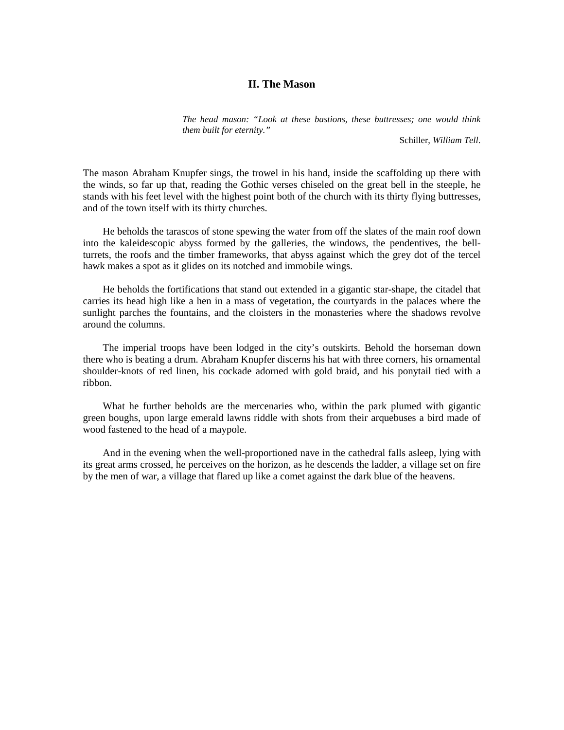## **II. The Mason**

*The head mason: "Look at these bastions, these buttresses; one would think them built for eternity."*

Schiller, *William Tell*.

The mason Abraham Knupfer sings, the trowel in his hand, inside the scaffolding up there with the winds, so far up that, reading the Gothic verses chiseled on the great bell in the steeple, he stands with his feet level with the highest point both of the church with its thirty flying buttresses, and of the town itself with its thirty churches.

He beholds the tarascos of stone spewing the water from off the slates of the main roof down into the kaleidescopic abyss formed by the galleries, the windows, the pendentives, the bellturrets, the roofs and the timber frameworks, that abyss against which the grey dot of the tercel hawk makes a spot as it glides on its notched and immobile wings.

He beholds the fortifications that stand out extended in a gigantic star-shape, the citadel that carries its head high like a hen in a mass of vegetation, the courtyards in the palaces where the sunlight parches the fountains, and the cloisters in the monasteries where the shadows revolve around the columns.

The imperial troops have been lodged in the city's outskirts. Behold the horseman down there who is beating a drum. Abraham Knupfer discerns his hat with three corners, his ornamental shoulder-knots of red linen, his cockade adorned with gold braid, and his ponytail tied with a ribbon.

What he further beholds are the mercenaries who, within the park plumed with gigantic green boughs, upon large emerald lawns riddle with shots from their arquebuses a bird made of wood fastened to the head of a maypole.

And in the evening when the well-proportioned nave in the cathedral falls asleep, lying with its great arms crossed, he perceives on the horizon, as he descends the ladder, a village set on fire by the men of war, a village that flared up like a comet against the dark blue of the heavens.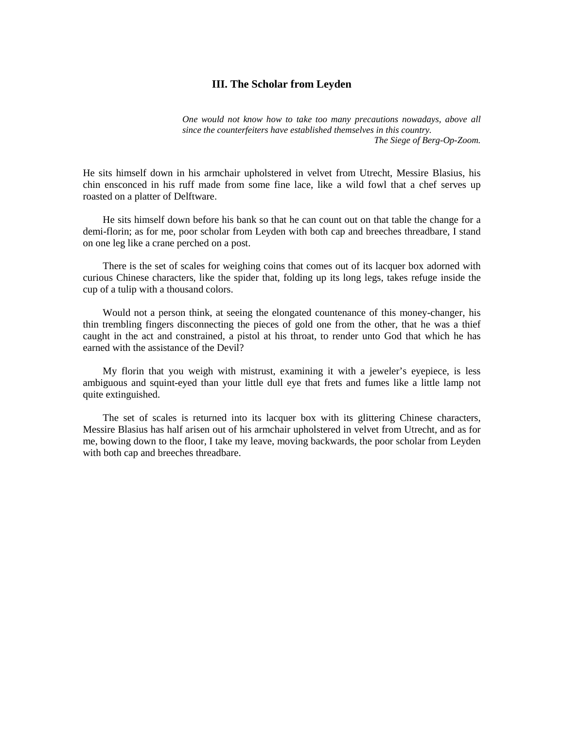## **III. The Scholar from Leyden**

*One would not know how to take too many precautions nowadays, above all since the counterfeiters have established themselves in this country. The Siege of Berg-Op-Zoom.*

He sits himself down in his armchair upholstered in velvet from Utrecht, Messire Blasius, his chin ensconced in his ruff made from some fine lace, like a wild fowl that a chef serves up roasted on a platter of Delftware.

He sits himself down before his bank so that he can count out on that table the change for a demi-florin; as for me, poor scholar from Leyden with both cap and breeches threadbare, I stand on one leg like a crane perched on a post.

There is the set of scales for weighing coins that comes out of its lacquer box adorned with curious Chinese characters, like the spider that, folding up its long legs, takes refuge inside the cup of a tulip with a thousand colors.

Would not a person think, at seeing the elongated countenance of this money-changer, his thin trembling fingers disconnecting the pieces of gold one from the other, that he was a thief caught in the act and constrained, a pistol at his throat, to render unto God that which he has earned with the assistance of the Devil?

My florin that you weigh with mistrust, examining it with a jeweler's eyepiece, is less ambiguous and squint-eyed than your little dull eye that frets and fumes like a little lamp not quite extinguished.

The set of scales is returned into its lacquer box with its glittering Chinese characters, Messire Blasius has half arisen out of his armchair upholstered in velvet from Utrecht, and as for me, bowing down to the floor, I take my leave, moving backwards, the poor scholar from Leyden with both cap and breeches threadbare.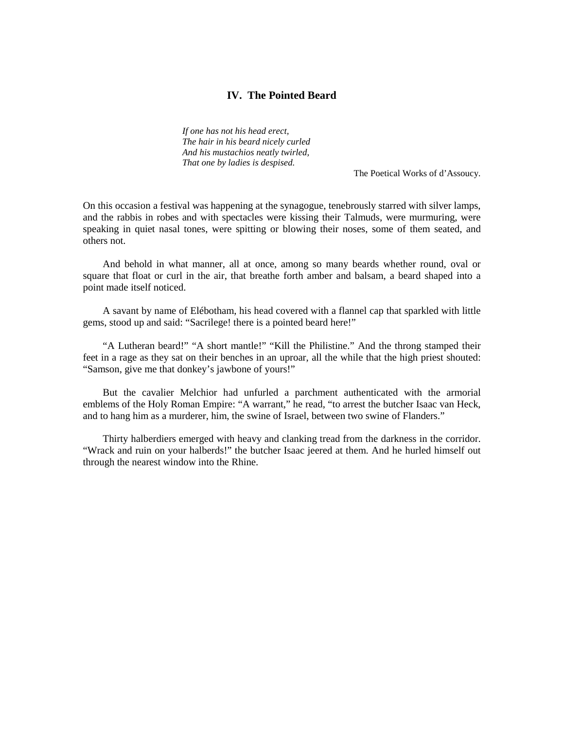## **IV. The Pointed Beard**

*If one has not his head erect, The hair in his beard nicely curled And his mustachios neatly twirled, That one by ladies is despised.*

The Poetical Works of d'Assoucy.

On this occasion a festival was happening at the synagogue, tenebrously starred with silver lamps, and the rabbis in robes and with spectacles were kissing their Talmuds, were murmuring, were speaking in quiet nasal tones, were spitting or blowing their noses, some of them seated, and others not.

And behold in what manner, all at once, among so many beards whether round, oval or square that float or curl in the air, that breathe forth amber and balsam, a beard shaped into a point made itself noticed.

A savant by name of Elébotham, his head covered with a flannel cap that sparkled with little gems, stood up and said: "Sacrilege! there is a pointed beard here!"

"A Lutheran beard!" "A short mantle!" "Kill the Philistine." And the throng stamped their feet in a rage as they sat on their benches in an uproar, all the while that the high priest shouted: "Samson, give me that donkey's jawbone of yours!"

But the cavalier Melchior had unfurled a parchment authenticated with the armorial emblems of the Holy Roman Empire: "A warrant," he read, "to arrest the butcher Isaac van Heck, and to hang him as a murderer, him, the swine of Israel, between two swine of Flanders."

Thirty halberdiers emerged with heavy and clanking tread from the darkness in the corridor. "Wrack and ruin on your halberds!" the butcher Isaac jeered at them. And he hurled himself out through the nearest window into the Rhine.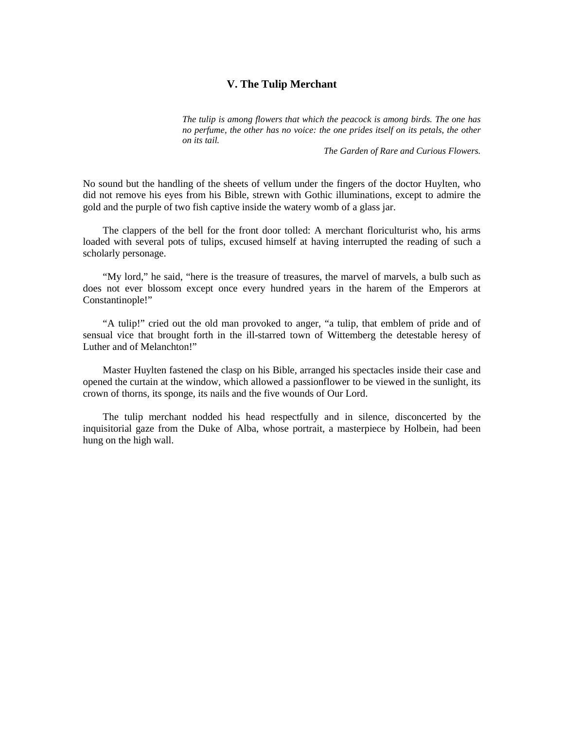## **V. The Tulip Merchant**

*The tulip is among flowers that which the peacock is among birds. The one has no perfume, the other has no voice: the one prides itself on its petals, the other on its tail.*

*The Garden of Rare and Curious Flowers.*

No sound but the handling of the sheets of vellum under the fingers of the doctor Huylten, who did not remove his eyes from his Bible, strewn with Gothic illuminations, except to admire the gold and the purple of two fish captive inside the watery womb of a glass jar.

The clappers of the bell for the front door tolled: A merchant floriculturist who, his arms loaded with several pots of tulips, excused himself at having interrupted the reading of such a scholarly personage.

"My lord," he said, "here is the treasure of treasures, the marvel of marvels, a bulb such as does not ever blossom except once every hundred years in the harem of the Emperors at Constantinople!"

"A tulip!" cried out the old man provoked to anger, "a tulip, that emblem of pride and of sensual vice that brought forth in the ill-starred town of Wittemberg the detestable heresy of Luther and of Melanchton!"

Master Huylten fastened the clasp on his Bible, arranged his spectacles inside their case and opened the curtain at the window, which allowed a passionflower to be viewed in the sunlight, its crown of thorns, its sponge, its nails and the five wounds of Our Lord.

The tulip merchant nodded his head respectfully and in silence, disconcerted by the inquisitorial gaze from the Duke of Alba, whose portrait, a masterpiece by Holbein, had been hung on the high wall.